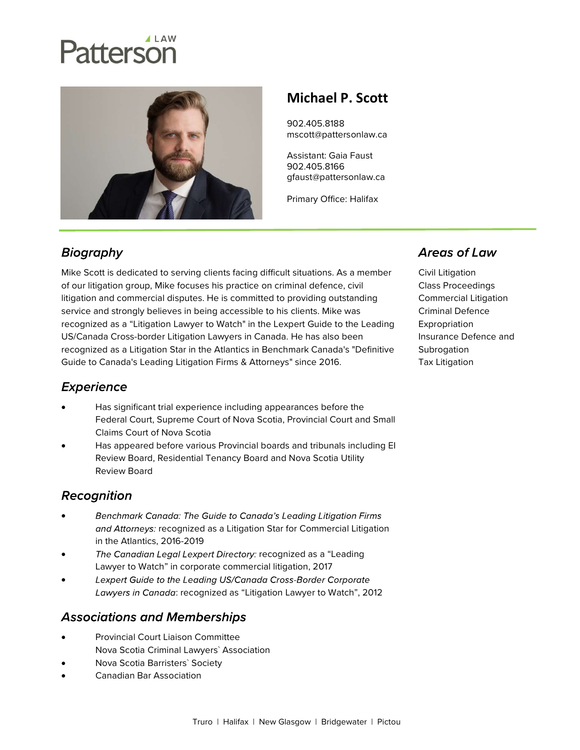# atterson



## Michael P. Scott

902.405.8188 mscott@pattersonlaw.ca

Assistant: Gaia Faust 902.405.8166 gfaust@pattersonlaw.ca

Primary Office: Halifax

## **Biography**

Mike Scott is dedicated to serving clients facing difficult situations. As a member of our litigation group, Mike focuses his practice on criminal defence, civil litigation and commercial disputes. He is committed to providing outstanding service and strongly believes in being accessible to his clients. Mike was recognized as a "Litigation Lawyer to Watch" in the Lexpert Guide to the Leading US/Canada Cross-border Litigation Lawyers in Canada. He has also been recognized as a Litigation Star in the Atlantics in Benchmark Canada's "Definitive Guide to Canada's Leading Litigation Firms & Attorneys" since 2016.

### **Experience**

- Has significant trial experience including appearances before the Federal Court, Supreme Court of Nova Scotia, Provincial Court and Small Claims Court of Nova Scotia
- Has appeared before various Provincial boards and tribunals including EI Review Board, Residential Tenancy Board and Nova Scotia Utility Review Board

### Recognition

- Benchmark Canada: The Guide to Canada's Leading Litigation Firms  $\bullet$ and Attorneys: recognized as a Litigation Star for Commercial Litigation in the Atlantics, 2016-2019
- The Canadian Legal Lexpert Directory: recognized as a "Leading Lawyer to Watch" in corporate commercial litigation, 2017
- $\bullet$ Lexpert Guide to the Leading US/Canada Cross-Border Corporate Lawyers in Canada: recognized as "Litigation Lawyer to Watch", 2012

## **Associations and Memberships**

- Provincial Court Liaison Committee Nova Scotia Criminal Lawyers` Association
- Nova Scotia Barristers` Society
- Canadian Bar Association

### **Areas of Law**

Civil Litigation Class Proceedings Commercial Litigation Criminal Defence Expropriation Insurance Defence and **Subrogation** Tax Litigation